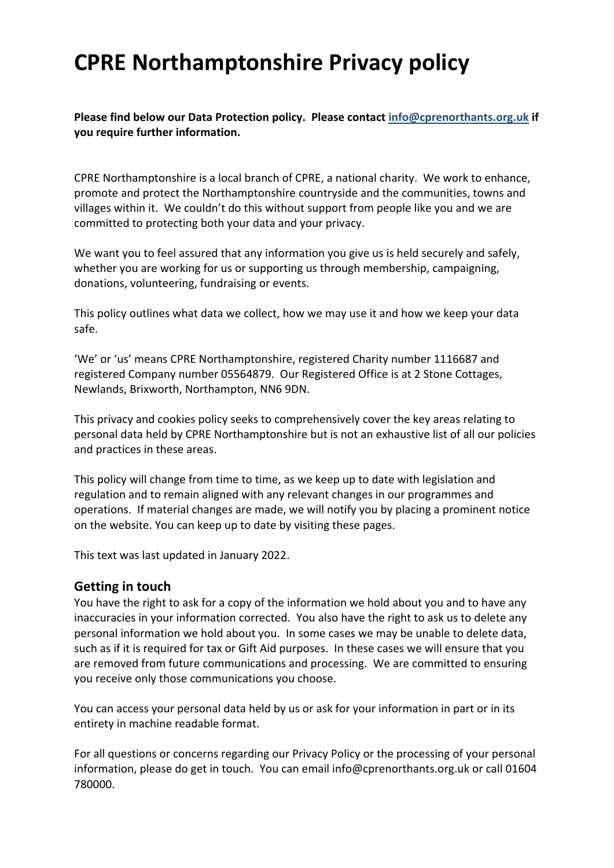# **CPRE Northamptonshire Privacy policy**

**Please find below our Data Protection policy. Please contact info@cprenorthants.org.uk if you require further information.**

CPRE Northamptonshire is a local branch of CPRE, a national charity. We work to enhance, promote and protect the Northamptonshire countryside and the communities, towns and villages within it. We couldn't do this without support from people like you and we are committed to protecting both your data and your privacy. 

We want you to feel assured that any information you give us is held securely and safely, whether you are working for us or supporting us through membership, campaigning, donations, volunteering, fundraising or events.

This policy outlines what data we collect, how we may use it and how we keep your data safe.

'We' or 'us' means CPRE Northamptonshire, registered Charity number 1116687 and registered Company number 05564879. Our Registered Office is at 2 Stone Cottages, Newlands, Brixworth, Northampton, NN6 9DN.

This privacy and cookies policy seeks to comprehensively cover the key areas relating to personal data held by CPRE Northamptonshire but is not an exhaustive list of all our policies and practices in these areas.

This policy will change from time to time, as we keep up to date with legislation and regulation and to remain aligned with any relevant changes in our programmes and operations. If material changes are made, we will notify you by placing a prominent notice on the website. You can keep up to date by visiting these pages.

This text was last updated in January 2022.

## **Getting in touch**

You have the right to ask for a copy of the information we hold about you and to have any inaccuracies in your information corrected. You also have the right to ask us to delete any personal information we hold about you. In some cases we may be unable to delete data, such as if it is required for tax or Gift Aid purposes. In these cases we will ensure that you are removed from future communications and processing. We are committed to ensuring you receive only those communications you choose.

You can access your personal data held by us or ask for your information in part or in its entirety in machine readable format.

For all questions or concerns regarding our Privacy Policy or the processing of your personal information, please do get in touch. You can email info@cprenorthants.org.uk or call 01604 780000.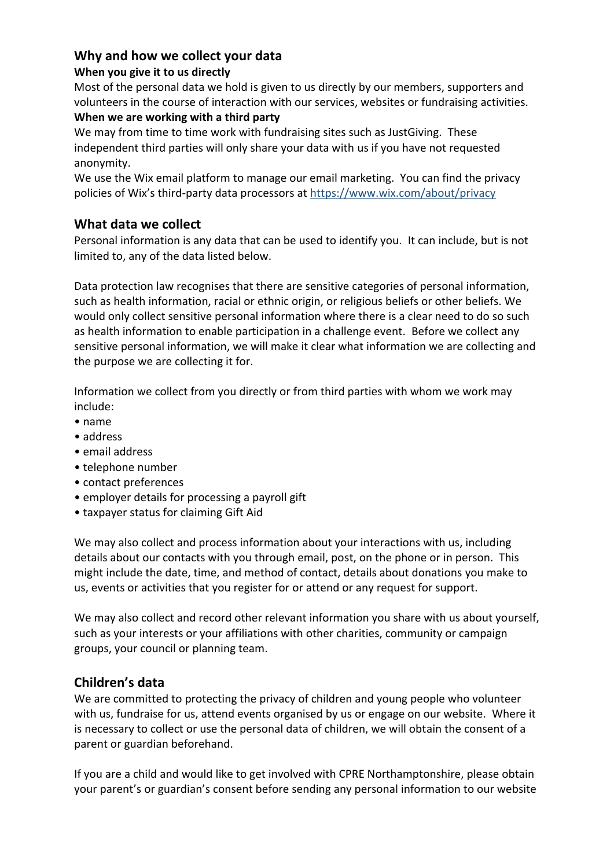## **Why and how we collect your data**

#### **When you give it to us directly**

Most of the personal data we hold is given to us directly by our members, supporters and volunteers in the course of interaction with our services, websites or fundraising activities.

#### **When we are working with a third party**

We may from time to time work with fundraising sites such as JustGiving. These independent third parties will only share your data with us if you have not requested anonymity.

We use the Wix email platform to manage our email marketing. You can find the privacy policies of Wix's third-party data processors at https://www.wix.com/about/privacy

# **What data we collect**

Personal information is any data that can be used to identify you. It can include, but is not limited to, any of the data listed below.

Data protection law recognises that there are sensitive categories of personal information, such as health information, racial or ethnic origin, or religious beliefs or other beliefs. We would only collect sensitive personal information where there is a clear need to do so such as health information to enable participation in a challenge event. Before we collect any sensitive personal information, we will make it clear what information we are collecting and the purpose we are collecting it for.

Information we collect from you directly or from third parties with whom we work may include:

- name
- address
- email address
- telephone number
- contact preferences
- employer details for processing a payroll gift
- taxpayer status for claiming Gift Aid

We may also collect and process information about your interactions with us, including details about our contacts with you through email, post, on the phone or in person. This might include the date, time, and method of contact, details about donations you make to us, events or activities that you register for or attend or any request for support.

We may also collect and record other relevant information you share with us about yourself, such as your interests or your affiliations with other charities, community or campaign groups, your council or planning team.

# **Children's data**

We are committed to protecting the privacy of children and young people who volunteer with us, fundraise for us, attend events organised by us or engage on our website. Where it is necessary to collect or use the personal data of children, we will obtain the consent of a parent or guardian beforehand.

If you are a child and would like to get involved with CPRE Northamptonshire, please obtain your parent's or guardian's consent before sending any personal information to our website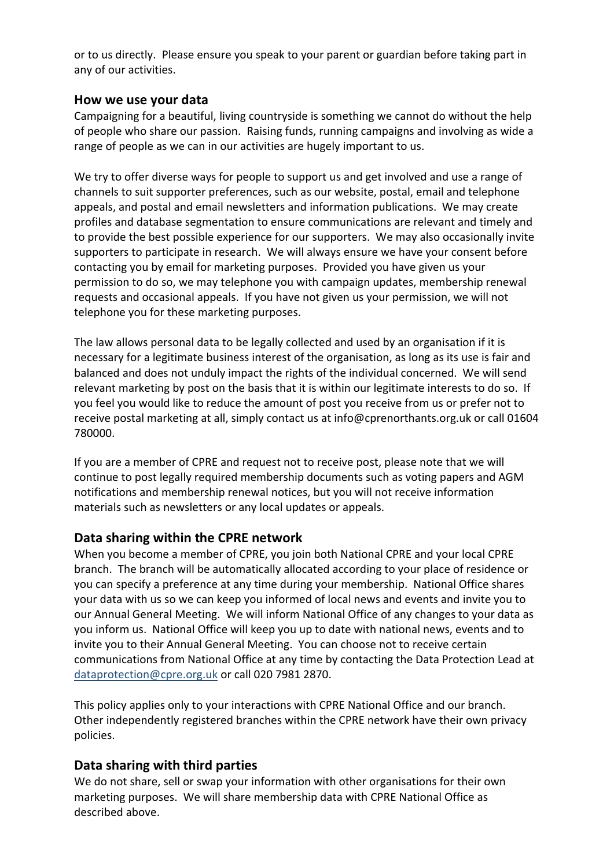or to us directly. Please ensure you speak to your parent or guardian before taking part in any of our activities.

#### **How we use your data**

Campaigning for a beautiful, living countryside is something we cannot do without the help of people who share our passion. Raising funds, running campaigns and involving as wide a range of people as we can in our activities are hugely important to us.

We try to offer diverse ways for people to support us and get involved and use a range of channels to suit supporter preferences, such as our website, postal, email and telephone appeals, and postal and email newsletters and information publications. We may create profiles and database segmentation to ensure communications are relevant and timely and to provide the best possible experience for our supporters. We may also occasionally invite supporters to participate in research. We will always ensure we have your consent before contacting you by email for marketing purposes. Provided you have given us your permission to do so, we may telephone you with campaign updates, membership renewal requests and occasional appeals. If you have not given us your permission, we will not telephone you for these marketing purposes.

The law allows personal data to be legally collected and used by an organisation if it is necessary for a legitimate business interest of the organisation, as long as its use is fair and balanced and does not unduly impact the rights of the individual concerned. We will send relevant marketing by post on the basis that it is within our legitimate interests to do so. If you feel you would like to reduce the amount of post you receive from us or prefer not to receive postal marketing at all, simply contact us at info@cprenorthants.org.uk or call 01604 780000.

If you are a member of CPRE and request not to receive post, please note that we will continue to post legally required membership documents such as voting papers and AGM notifications and membership renewal notices, but you will not receive information materials such as newsletters or any local updates or appeals.

## **Data sharing within the CPRE network**

When you become a member of CPRE, you join both National CPRE and your local CPRE branch. The branch will be automatically allocated according to your place of residence or you can specify a preference at any time during your membership. National Office shares your data with us so we can keep you informed of local news and events and invite you to our Annual General Meeting. We will inform National Office of any changes to your data as you inform us. National Office will keep you up to date with national news, events and to invite you to their Annual General Meeting. You can choose not to receive certain communications from National Office at any time by contacting the Data Protection Lead at dataprotection@cpre.org.uk or call 020 7981 2870.

This policy applies only to your interactions with CPRE National Office and our branch. Other independently registered branches within the CPRE network have their own privacy policies.

## **Data sharing with third parties**

We do not share, sell or swap your information with other organisations for their own marketing purposes. We will share membership data with CPRE National Office as described above.